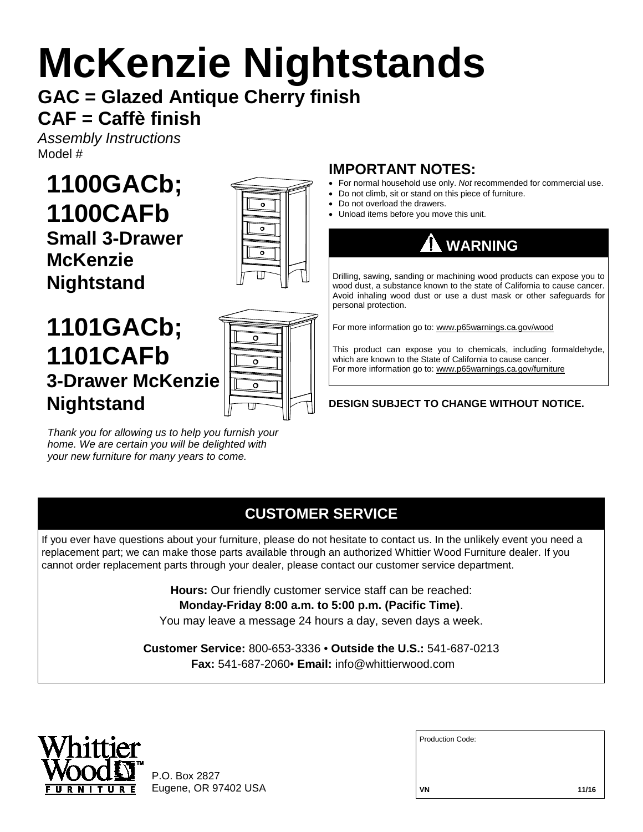# **McKenzie Nightstands**

# **GAC = Glazed Antique Cherry finish CAF = Caffè finish**

*Assembly Instructions* Model #

**1100GACb; 1100CAFb Small 3-Drawer McKenzie Nightstand**



# **1101GACb; 1101CAFb 3-Drawer McKenzie Nightstand**



*Thank you for allowing us to help you furnish your home. We are certain you will be delighted with your new furniture for many years to come.*

# **IMPORTANT NOTES:**

- For normal household use only. *Not* recommended for commercial use.
- Do not climb, sit or stand on this piece of furniture.
- Do not overload the drawers.
- Unload items before you move this unit.



Drilling, sawing, sanding or machining wood products can expose you to wood dust, a substance known to the state of California to cause cancer. Avoid inhaling wood dust or use a dust mask or other safeguards for personal protection.

For more information go to: www.p65warnings.ca.gov/wood

This product can expose you to chemicals, including formaldehyde, which are known to the State of California to cause cancer. For more information go to: www.p65warnings.ca.gov/furniture

#### **DESIGN SUBJECT TO CHANGE WITHOUT NOTICE.**

## **CUSTOMER SERVICE**

If you ever have questions about your furniture, please do not hesitate to contact us. In the unlikely event you need a replacement part; we can make those parts available through an authorized Whittier Wood Furniture dealer. If you cannot order replacement parts through your dealer, please contact our customer service department.

**Hours:** Our friendly customer service staff can be reached:

**Monday-Friday 8:00 a.m. to 5:00 p.m. (Pacific Time)**.

You may leave a message 24 hours a day, seven days a week.

**Customer Service:** 800-653-3336 • **Outside the U.S.:** 541-687-0213 **Fax:** 541-687-2060• **Email:** info@whittierwood.com



P.O. Box 2827 Eugene, OR 97402 USA

| <b>Production Code:</b> |  |
|-------------------------|--|
|                         |  |